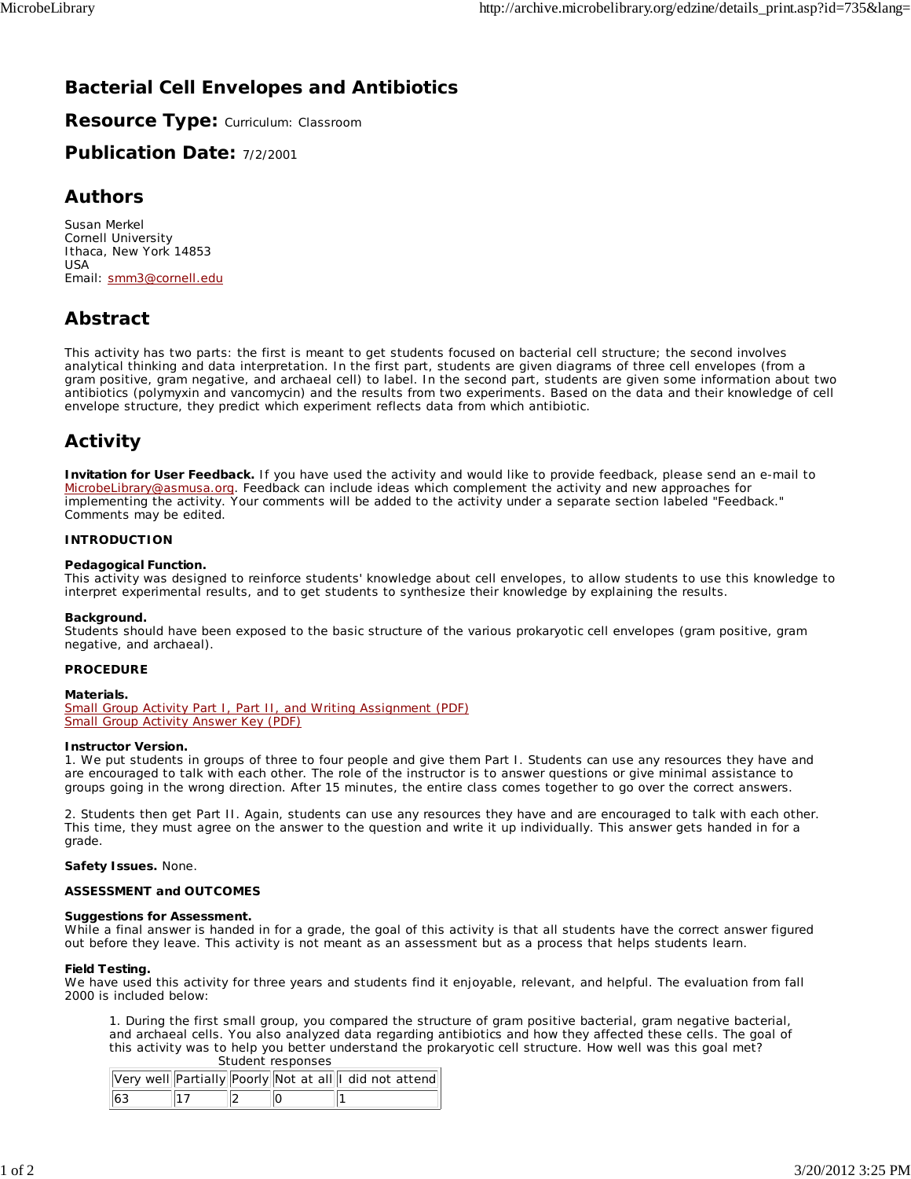# **Bacterial Cell Envelopes and Antibiotics**

**Resource Type:** Curriculum: Classroom

**Publication Date:** 7/2/2001

### **Authors**

*Susan Merkel* Cornell University Ithaca, New York 14853 USA Email: smm3@cornell.edu

## **Abstract**

This activity has two parts: the first is meant to get students focused on bacterial cell structure; the second involves analytical thinking and data interpretation. In the first part, students are given diagrams of three cell envelopes (from a gram positive, gram negative, and archaeal cell) to label. In the second part, students are given some information about two antibiotics (polymyxin and vancomycin) and the results from two experiments. Based on the data and their knowledge of cell envelope structure, they predict which experiment reflects data from which antibiotic.

# **Activity**

**Invitation for User Feedback.** If you have used the activity and would like to provide feedback, please send an e-mail to MicrobeLibrary@asmusa.org. Feedback can include ideas which complement the activity and new approaches for implementing the activity. Your comments will be added to the activity under a separate section labeled "Feedback." Comments may be edited.

### **INTRODUCTION**

### **Pedagogical Function.**

This activity was designed to reinforce students' knowledge about cell envelopes, to allow students to use this knowledge to interpret experimental results, and to get students to synthesize their knowledge by explaining the results.

### **Background.**

Students should have been exposed to the basic structure of the various prokaryotic cell envelopes (gram positive, gram negative, and archaeal).

### **PROCEDURE**

### **Materials.**

Small Group Activity Part I, Part II, and Writing Assignment (PDF) Small Group Activity Answer Key (PDF)

### **Instructor Version.**

1. We put students in groups of three to four people and give them Part I. Students can use any resources they have and are encouraged to talk with each other. The role of the instructor is to answer questions or give minimal assistance to groups going in the wrong direction. After 15 minutes, the entire class comes together to go over the correct answers.

2. Students then get Part II. Again, students can use any resources they have and are encouraged to talk with each other. This time, they must agree on the answer to the question and write it up individually. This answer gets handed in for a grade.

### **Safety Issues.** None.

### **ASSESSMENT and OUTCOMES**

### **Suggestions for Assessment.**

While a final answer is handed in for a grade, the goal of this activity is that all students have the correct answer figured out before they leave. This activity is not meant as an assessment but as a process that helps students learn.

### **Field Testing.**

We have used this activity for three years and students find it enjoyable, relevant, and helpful. The evaluation from fall 2000 is included below:

1. During the *first* small group, you compared the structure of gram positive bacterial, gram negative bacterial, and archaeal cells. You also analyzed data regarding antibiotics and how they affected these cells. The goal of this activity was to help you better understand the prokaryotic cell structure. How well was this goal met? Student responses

|     |  | Very well Partially Poorly Not at all I did not attend |
|-----|--|--------------------------------------------------------|
| 163 |  |                                                        |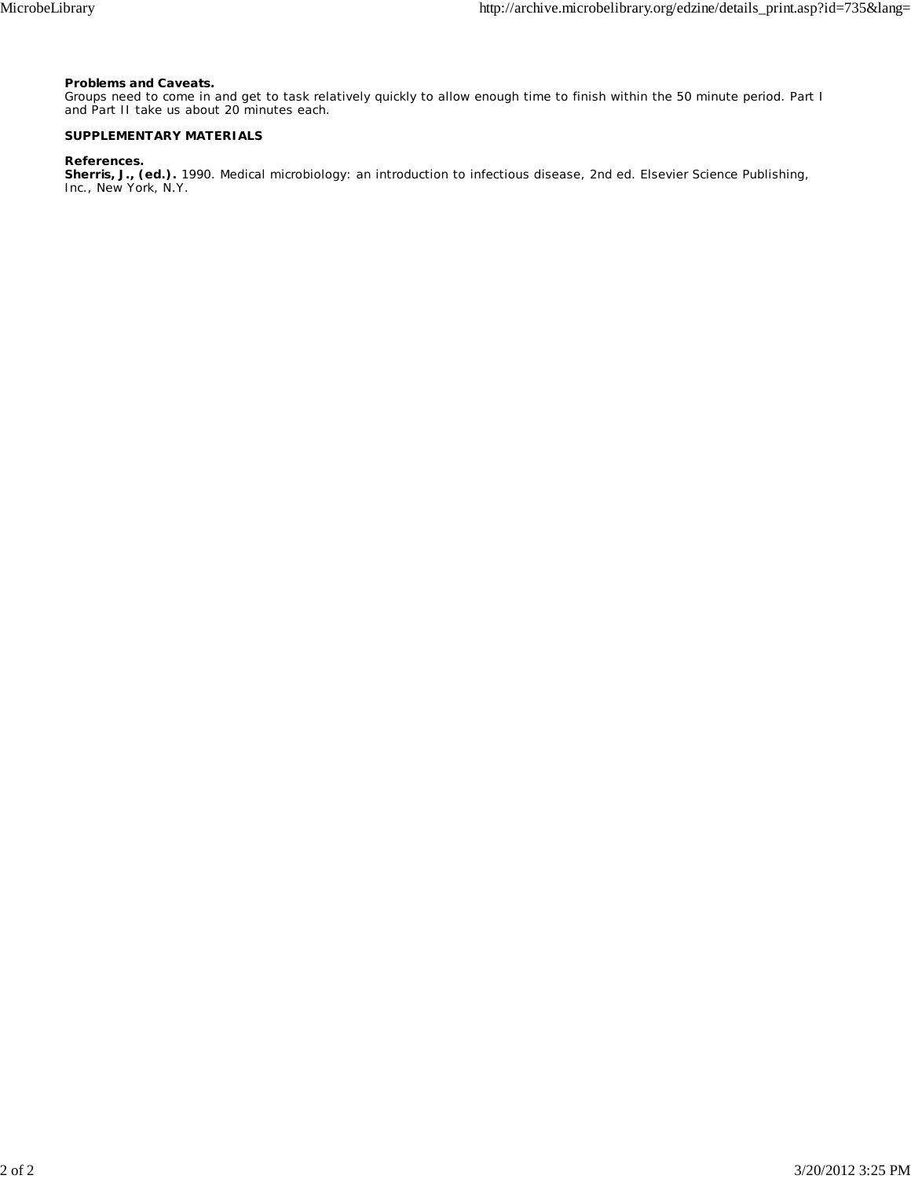### **Problems and Caveats.**

Groups need to come in and get to task relatively quickly to allow enough time to finish within the 50 minute period. Part I and Part II take us about 20 minutes each.

### **SUPPLEMENTARY MATERIALS**

#### **References.**

**Sherris, J., (ed.).** 1990. Medical microbiology: an introduction to infectious disease, 2nd ed. Elsevier Science Publishing, Inc., New York, N.Y.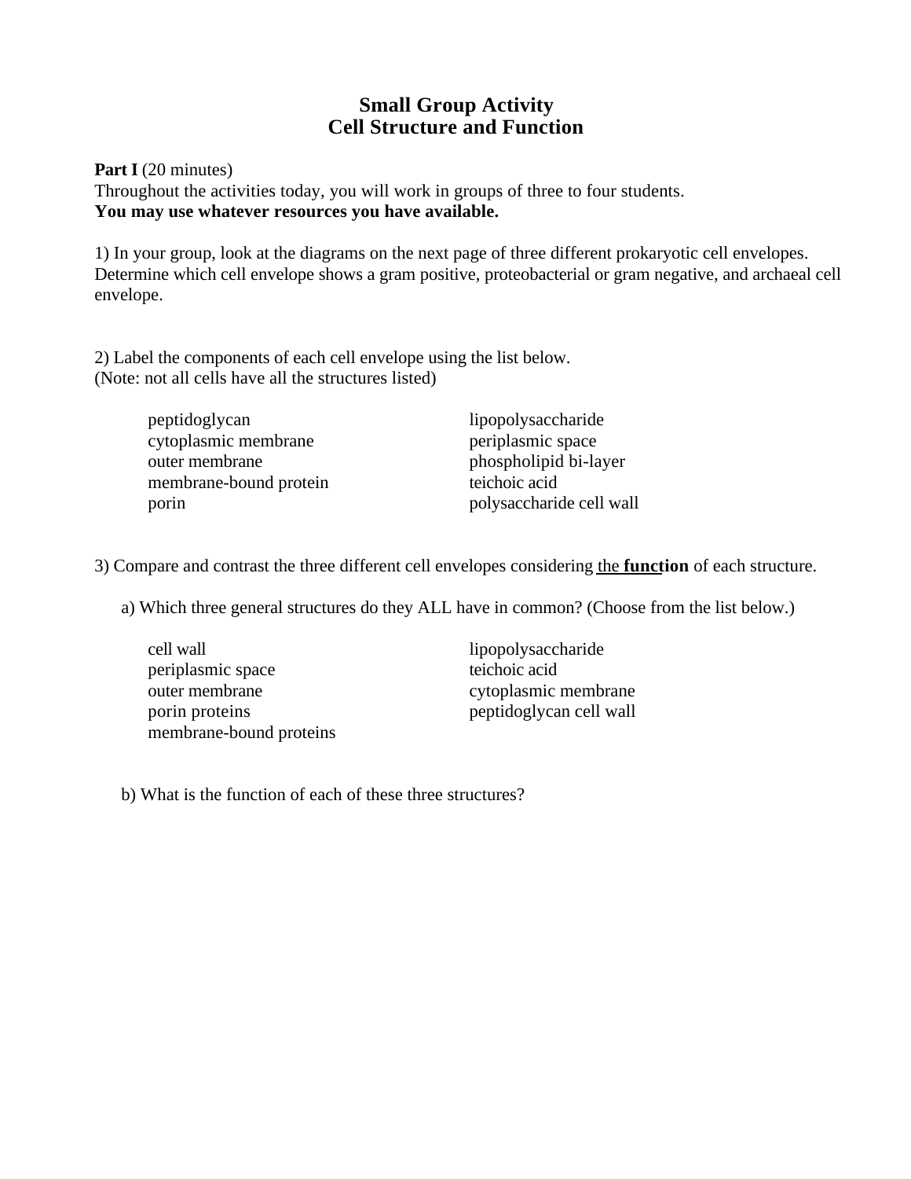# **Small Group Activity Cell Structure and Function**

Part I (20 minutes) Throughout the activities today, you will work in groups of three to four students. **You may use whatever resources you have available.**

1) In your group, look at the diagrams on the next page of three different prokaryotic cell envelopes. Determine which cell envelope shows a gram positive, proteobacterial or gram negative, and archaeal cell envelope.

2) Label the components of each cell envelope using the list below. (Note: not all cells have all the structures listed)

| peptidoglycan          | lipopolysaccharide       |
|------------------------|--------------------------|
| cytoplasmic membrane   | periplasmic space        |
| outer membrane         | phospholipid bi-layer    |
| membrane-bound protein | teichoic acid            |
| porin                  | polysaccharide cell wall |

3) Compare and contrast the three different cell envelopes considering the **function** of each structure.

a) Which three general structures do they ALL have in common? (Choose from the list below.)

| cell wall               | lipopolysaccharide      |
|-------------------------|-------------------------|
| periplasmic space       | teichoic acid           |
| outer membrane          | cytoplasmic membrane    |
| porin proteins          | peptidoglycan cell wall |
| membrane-bound proteins |                         |

b) What is the function of each of these three structures?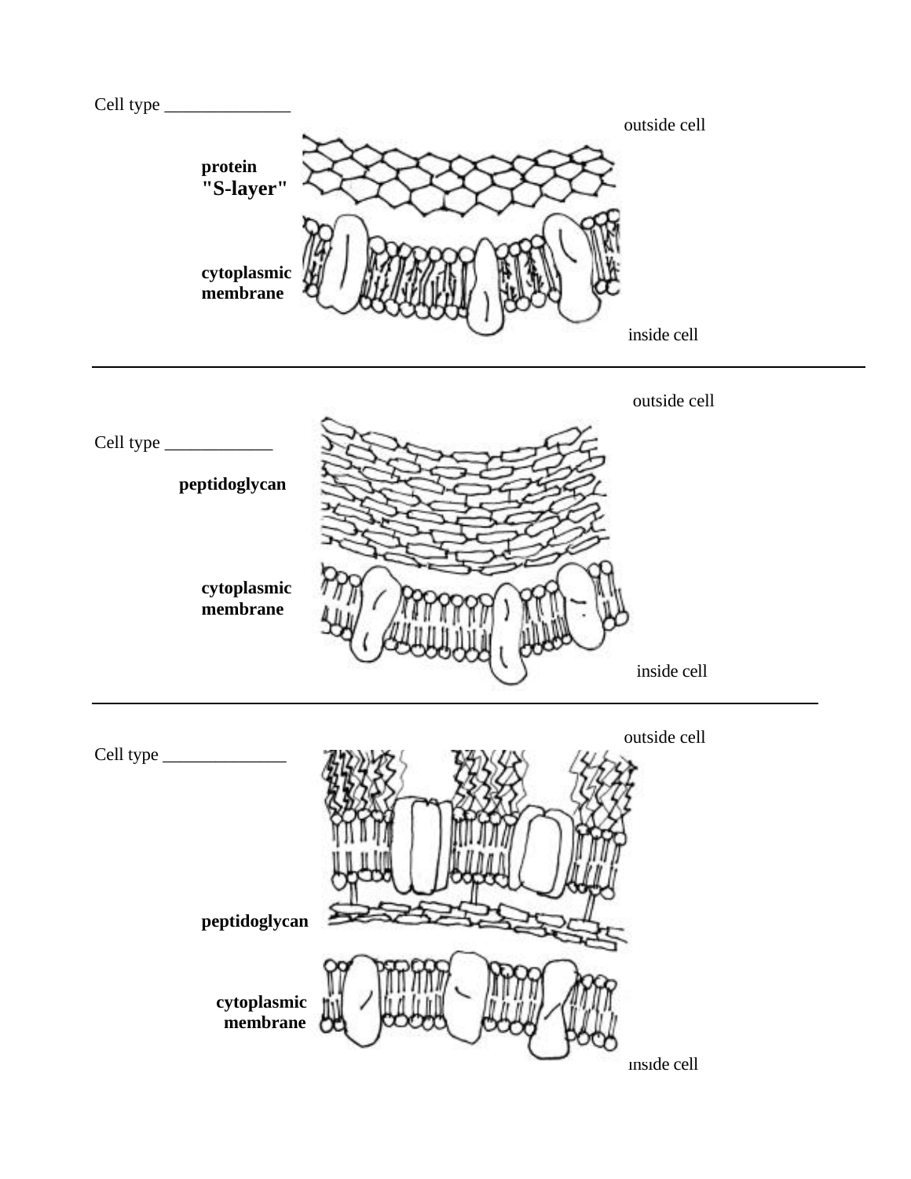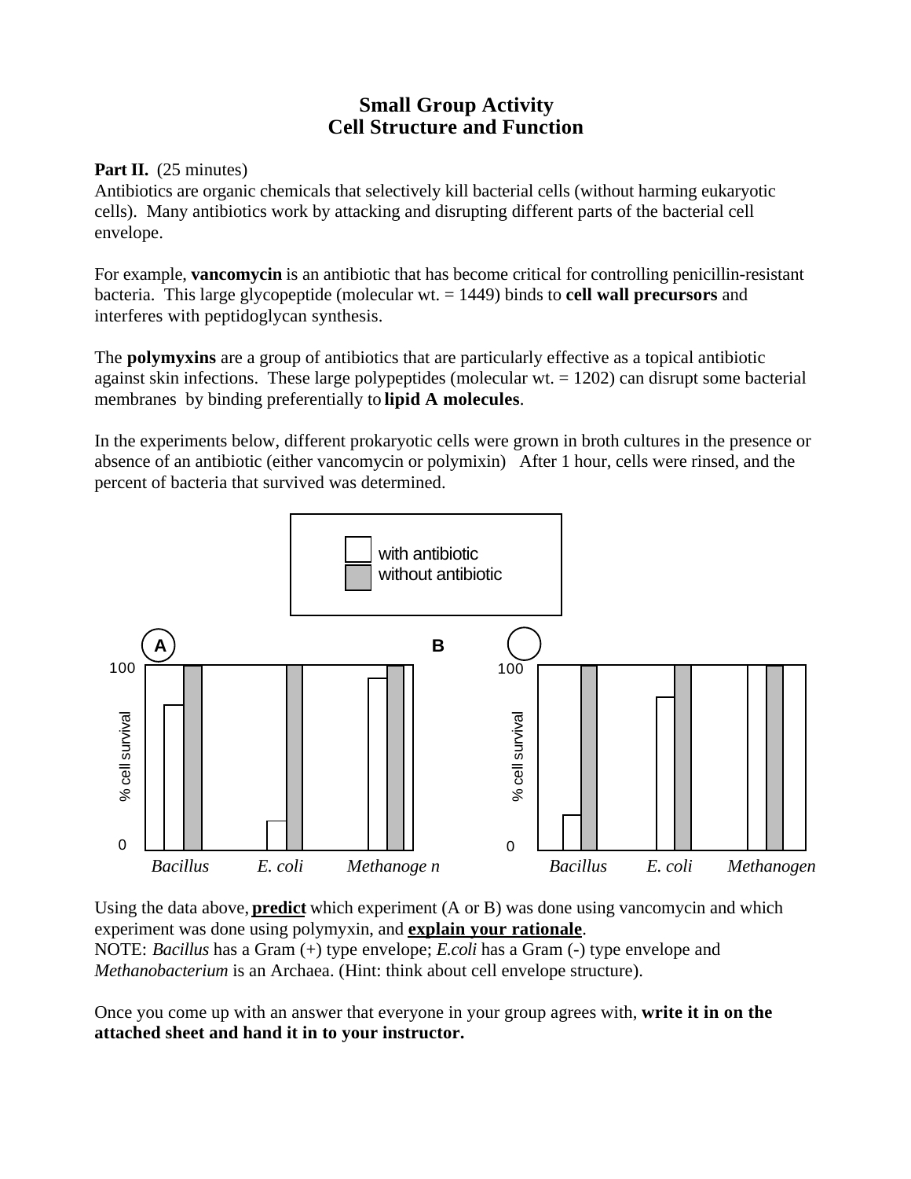# **Small Group Activity Cell Structure and Function**

## Part II. (25 minutes)

Antibiotics are organic chemicals that selectively kill bacterial cells (without harming eukaryotic cells). Many antibiotics work by attacking and disrupting different parts of the bacterial cell envelope.

For example, **vancomycin** is an antibiotic that has become critical for controlling penicillin-resistant bacteria. This large glycopeptide (molecular wt. = 1449) binds to **cell wall precursors** and interferes with peptidoglycan synthesis.

The **polymyxins** are a group of antibiotics that are particularly effective as a topical antibiotic against skin infections. These large polypeptides (molecular  $wt = 1202$ ) can disrupt some bacterial membranes by binding preferentially to **lipid A molecules**.

In the experiments below, different prokaryotic cells were grown in broth cultures in the presence or absence of an antibiotic (either vancomycin or polymixin) After 1 hour, cells were rinsed, and the percent of bacteria that survived was determined.



Using the data above, **predict** which experiment (A or B) was done using vancomycin and which experiment was done using polymyxin, and **explain your rationale**. NOTE: *Bacillus* has a Gram (+) type envelope; *E.coli* has a Gram (-) type envelope and *Methanobacterium* is an Archaea. (Hint: think about cell envelope structure).

Once you come up with an answer that everyone in your group agrees with, **write it in on the attached sheet and hand it in to your instructor.**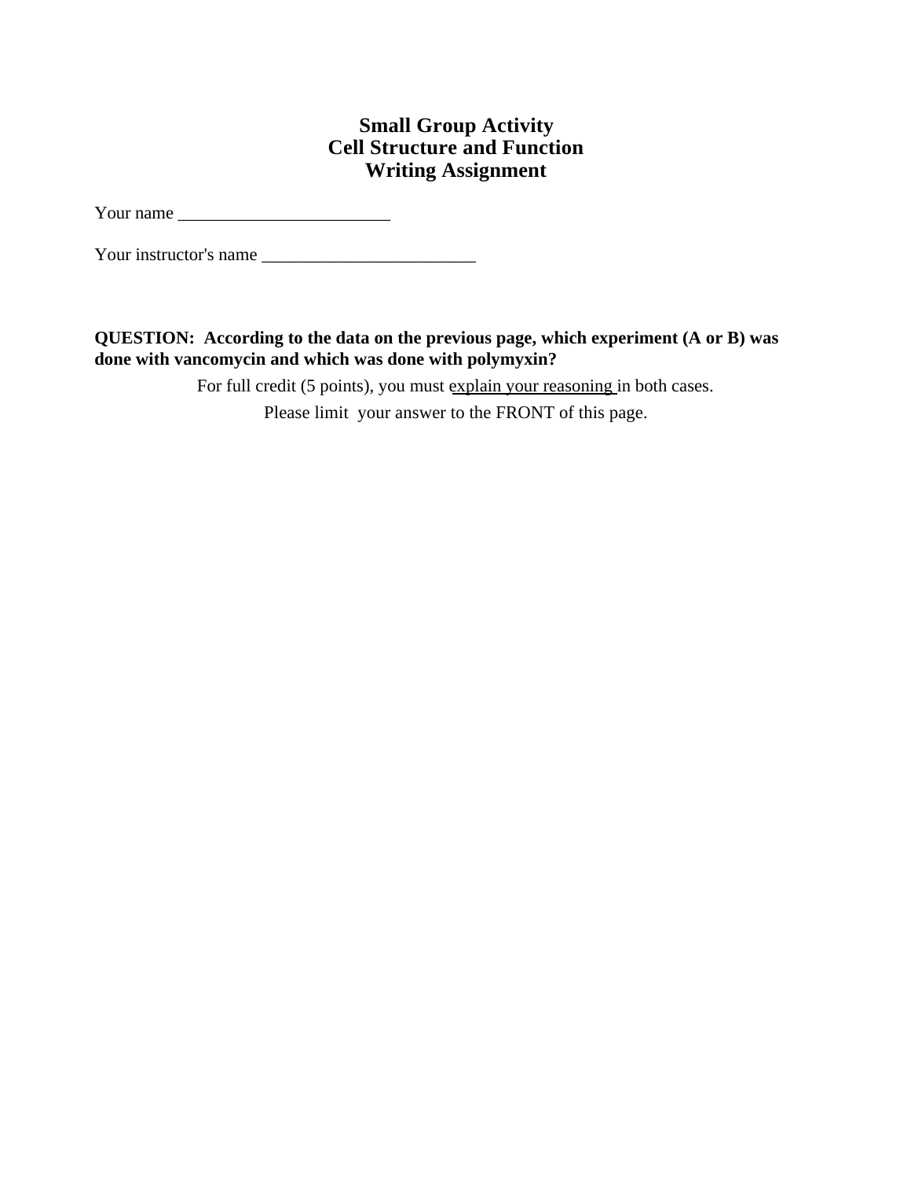# **Small Group Activity Cell Structure and Function Writing Assignment**

Your name \_\_\_\_\_\_\_\_\_\_\_\_\_\_\_\_\_\_\_\_\_\_\_\_

Your instructor's name

**QUESTION: According to the data on the previous page, which experiment (A or B) was done with vancomycin and which was done with polymyxin?**

For full credit (5 points), you must explain your reasoning in both cases.

Please limit your answer to the FRONT of this page.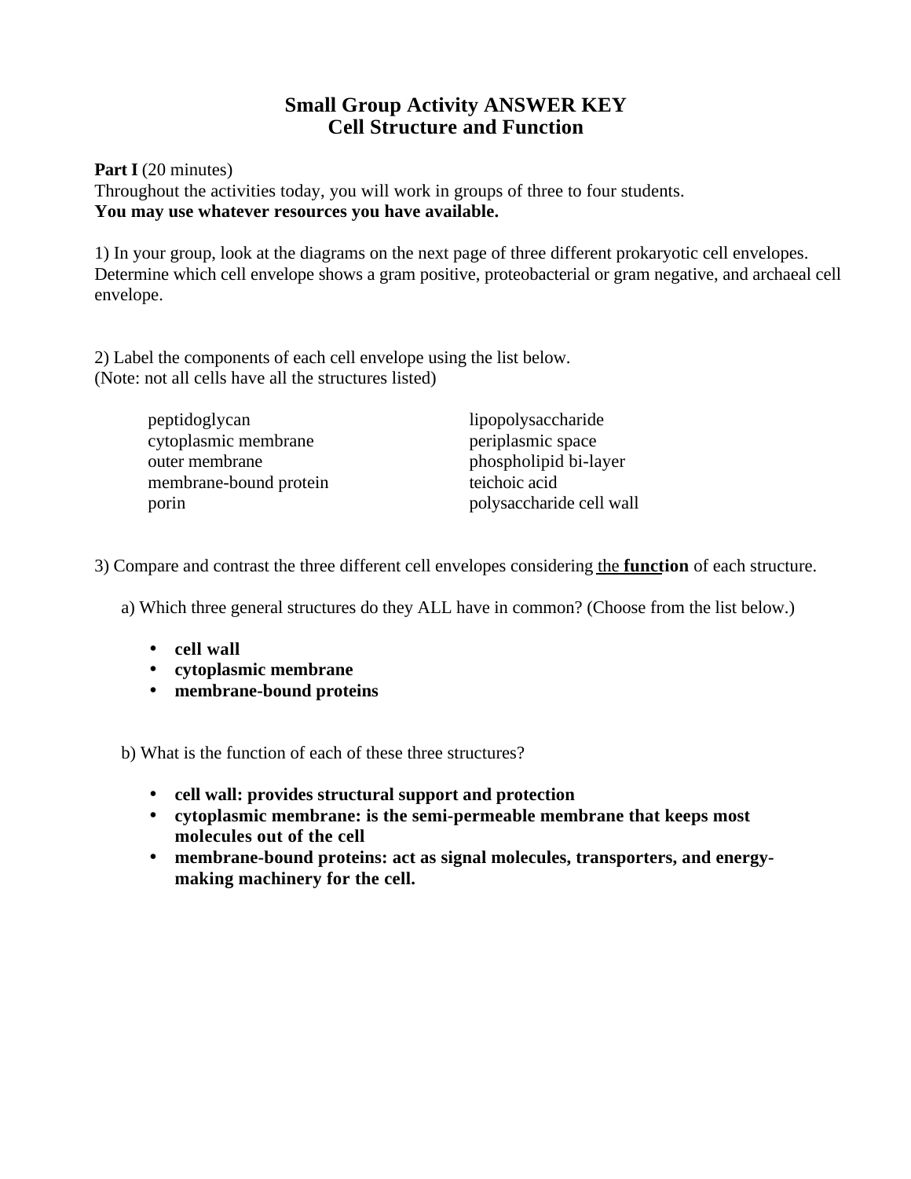# **Small Group Activity ANSWER KEY Cell Structure and Function**

**Part I** (20 minutes) Throughout the activities today, you will work in groups of three to four students. **You may use whatever resources you have available.**

1) In your group, look at the diagrams on the next page of three different prokaryotic cell envelopes. Determine which cell envelope shows a gram positive, proteobacterial or gram negative, and archaeal cell envelope.

2) Label the components of each cell envelope using the list below. (Note: not all cells have all the structures listed)

| peptidoglycan          | lipopolysaccharide       |
|------------------------|--------------------------|
| cytoplasmic membrane   | periplasmic space        |
| outer membrane         | phospholipid bi-layer    |
| membrane-bound protein | teichoic acid            |
| porin                  | polysaccharide cell wall |

3) Compare and contrast the three different cell envelopes considering the **function** of each structure.

a) Which three general structures do they ALL have in common? (Choose from the list below.)

- **cell wall**
- **cytoplasmic membrane**
- **membrane-bound proteins**

b) What is the function of each of these three structures?

- **cell wall: provides structural support and protection**
- **cytoplasmic membrane: is the semi-permeable membrane that keeps most molecules out of the cell**
- **membrane-bound proteins: act as signal molecules, transporters, and energymaking machinery for the cell.**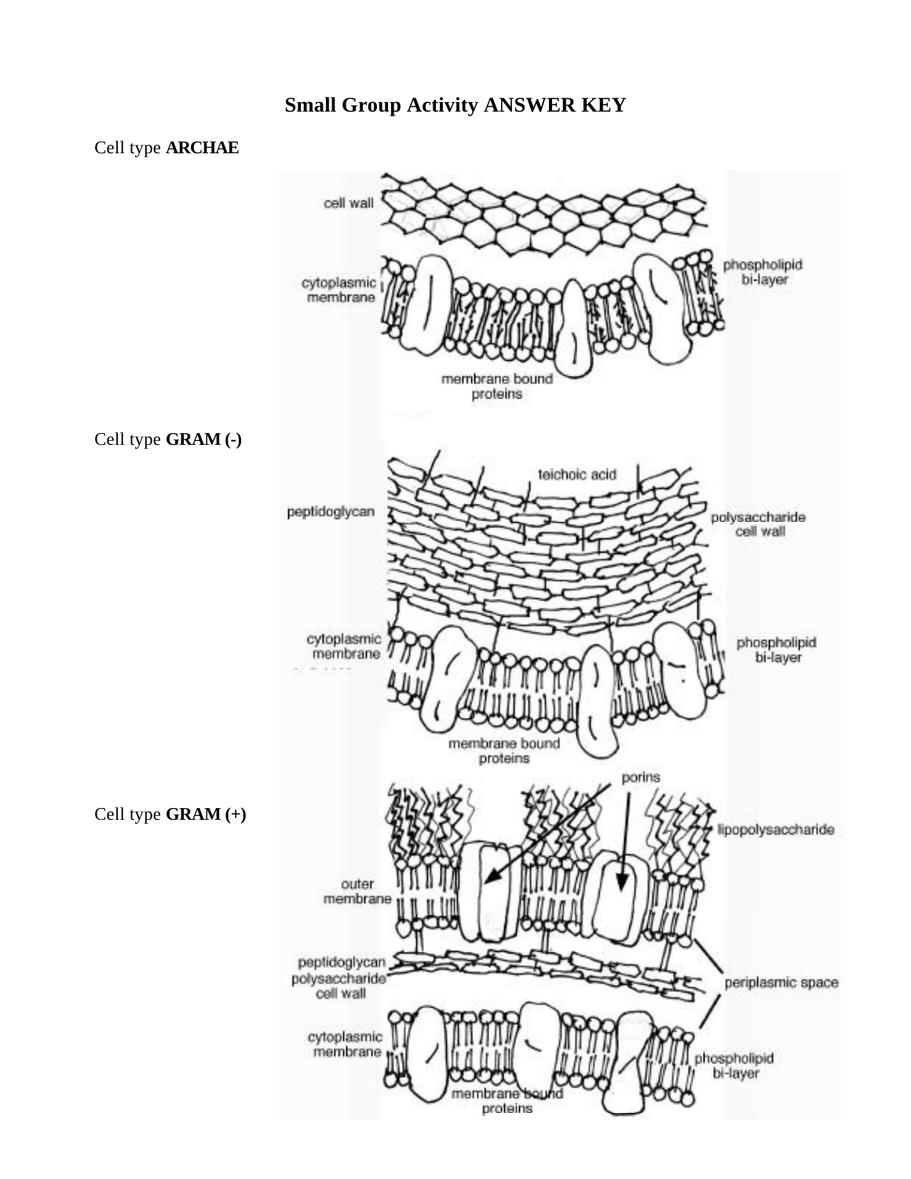## Cell type **ARCHAE**

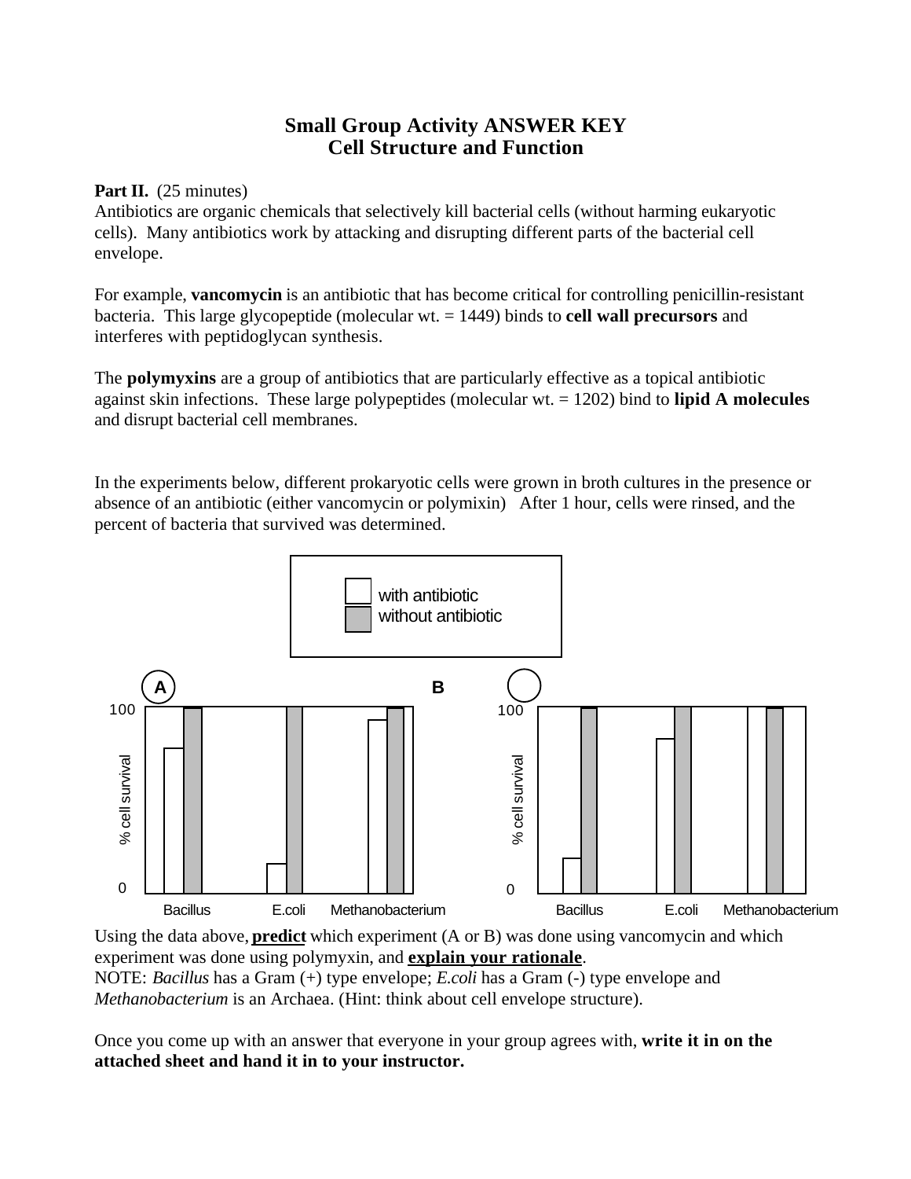# **Small Group Activity ANSWER KEY Cell Structure and Function**

## Part II. (25 minutes)

Antibiotics are organic chemicals that selectively kill bacterial cells (without harming eukaryotic cells). Many antibiotics work by attacking and disrupting different parts of the bacterial cell envelope.

For example, **vancomycin** is an antibiotic that has become critical for controlling penicillin-resistant bacteria. This large glycopeptide (molecular wt. = 1449) binds to **cell wall precursors** and interferes with peptidoglycan synthesis.

The **polymyxins** are a group of antibiotics that are particularly effective as a topical antibiotic against skin infections. These large polypeptides (molecular wt. = 1202) bind to **lipid A molecules** and disrupt bacterial cell membranes.

In the experiments below, different prokaryotic cells were grown in broth cultures in the presence or absence of an antibiotic (either vancomycin or polymixin) After 1 hour, cells were rinsed, and the percent of bacteria that survived was determined.



Using the data above, **predict** which experiment (A or B) was done using vancomycin and which experiment was done using polymyxin, and **explain your rationale**. NOTE: *Bacillus* has a Gram (+) type envelope; *E.coli* has a Gram (-) type envelope and *Methanobacterium* is an Archaea. (Hint: think about cell envelope structure).

Once you come up with an answer that everyone in your group agrees with, **write it in on the attached sheet and hand it in to your instructor.**